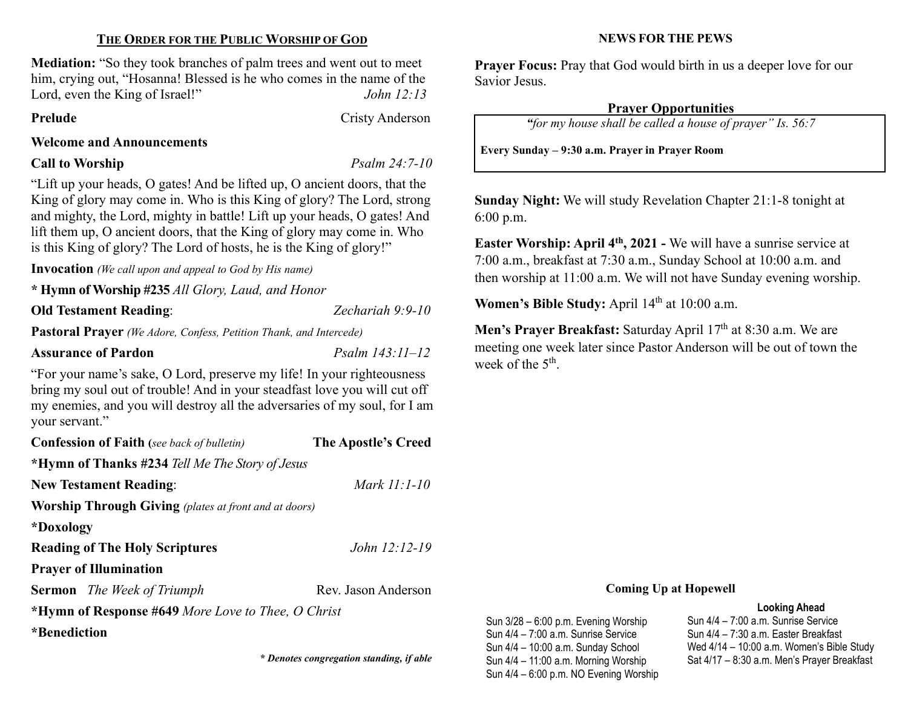# THE ORDER FOR THE PUBLIC WORSHIP OF GOD

Mediation: "So they took branches of palm trees and went out to meet him, crying out, "Hosanna! Blessed is he who comes in the name of the Lord, even the King of Israel!" John 12:13

Prelude Cristy Anderson

# Welcome and Announcements

Call to Worship Psalm 24:7-10

"Lift up your heads, O gates! And be lifted up, O ancient doors, that the King of glory may come in. Who is this King of glory? The Lord, strong and mighty, the Lord, mighty in battle! Lift up your heads, O gates! And lift them up, O ancient doors, that the King of glory may come in. Who is this King of glory? The Lord of hosts, he is the King of glory!"

Invocation (We call upon and appeal to God by His name)

\* Hymn of Worship #235 All Glory, Laud, and Honor

# Old Testament Reading: Zechariah 9:9-10

Pastoral Prayer (We Adore, Confess, Petition Thank, and Intercede)

# Assurance of Pardon Psalm 143:11–12

"For your name's sake, O Lord, preserve my life! In your righteousness bring my soul out of trouble! And in your steadfast love you will cut off my enemies, and you will destroy all the adversaries of my soul, for I am your servant."

| <b>Confession of Faith</b> (see back of bulletin)            | The Apostle's Creed |
|--------------------------------------------------------------|---------------------|
| *Hymn of Thanks #234 Tell Me The Story of Jesus              |                     |
| <b>New Testament Reading:</b>                                | Mark 11:1-10        |
| <b>Worship Through Giving</b> (plates at front and at doors) |                     |
| *Doxology                                                    |                     |
| <b>Reading of The Holy Scriptures</b>                        | $John 12:12-19$     |
| <b>Prayer of Illumination</b>                                |                     |
| <b>Sermon</b> The Week of Triumph                            | Rev. Jason Anderson |
| *Hymn of Response #649 More Love to Thee, O Christ           |                     |
| *Benediction                                                 |                     |
|                                                              |                     |

\* Denotes congregation standing, if able

### NEWS FOR THE PEWS

Prayer Focus: Pray that God would birth in us a deeper love for our Savior Jesus.

# Prayer Opportunities

"for my house shall be called a house of prayer" Is. 56:7

Every Sunday – 9:30 a.m. Prayer in Prayer Room

Sunday Night: We will study Revelation Chapter 21:1-8 tonight at 6:00 p.m.

Easter Worship: April 4<sup>th</sup>, 2021 - We will have a sunrise service at 7:00 a.m., breakfast at 7:30 a.m., Sunday School at 10:00 a.m. and then worship at 11:00 a.m. We will not have Sunday evening worship.

Women's Bible Study: April 14<sup>th</sup> at 10:00 a.m.

Men's Prayer Breakfast: Saturday April 17<sup>th</sup> at 8:30 a.m. We are meeting one week later since Pastor Anderson will be out of town the week of the 5<sup>th</sup>.

#### Coming Up at Hopewell

#### Looking Ahead

Sun 3/28 – 6:00 p.m. Evening Worship Sun 4/4 – 7:00 a.m. Sunrise Service Sun 4/4 – 10:00 a.m. Sunday School Sun 4/4 – 11:00 a.m. Morning Worship Sun 4/4 – 6:00 p.m. NO Evening Worship

Sun 4/4 – 7:00 a.m. Sunrise Service Sun 4/4 – 7:30 a.m. Easter Breakfast Wed 4/14 – 10:00 a.m. Women's Bible Study Sat 4/17 – 8:30 a.m. Men's Prayer Breakfast